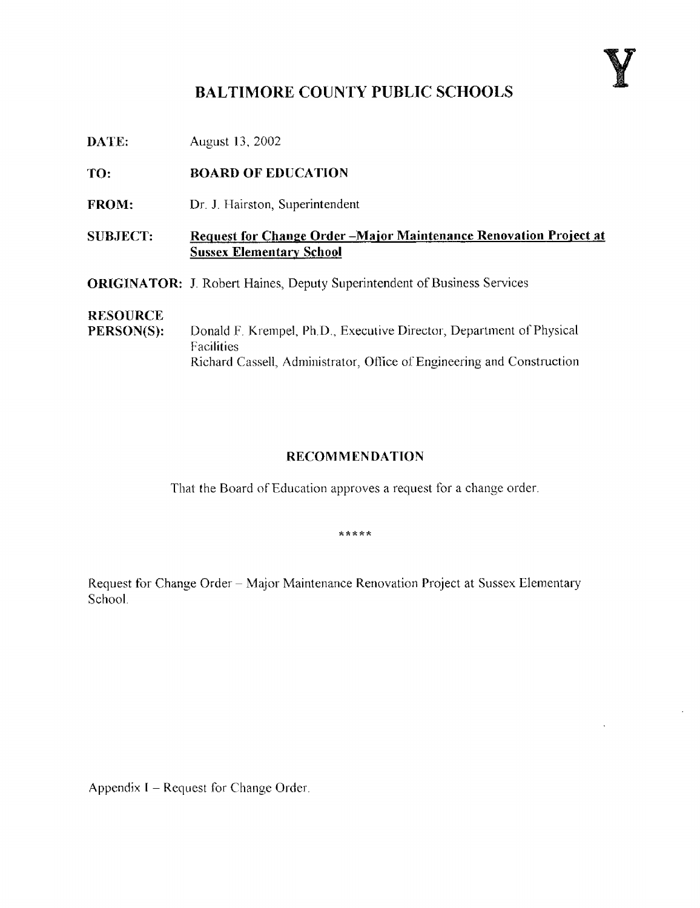## BALTIMORE COUNTY PUBLIC SCHOOLS

**DATE:** August 13, 2002

TO: BOARD OF EDUCATION

FROM: Dr. J. Hairston, Superintendent

SUBJECT: Request for Change Order -Major Maintenance Renovation Project at Sussex Elementary School

ORIGINATOR: J. Robert Haines, Deputy Superintendent of Business Services

# **RESOURCE**<br>PERSON(S):

Donald F. Krempel, Ph.D., Executive Director, Department of Physical Facilities Richard Cassell, Administrator, Office of Engineering and Construction

#### RECOMMENDATION

That the Board of Education approves a request for a change order.

\*\*\*\*\*

Request for Change Order - Major Maintenance Renovation Project at Sussex Elementary School,

Appendix I - Request for Change Order.